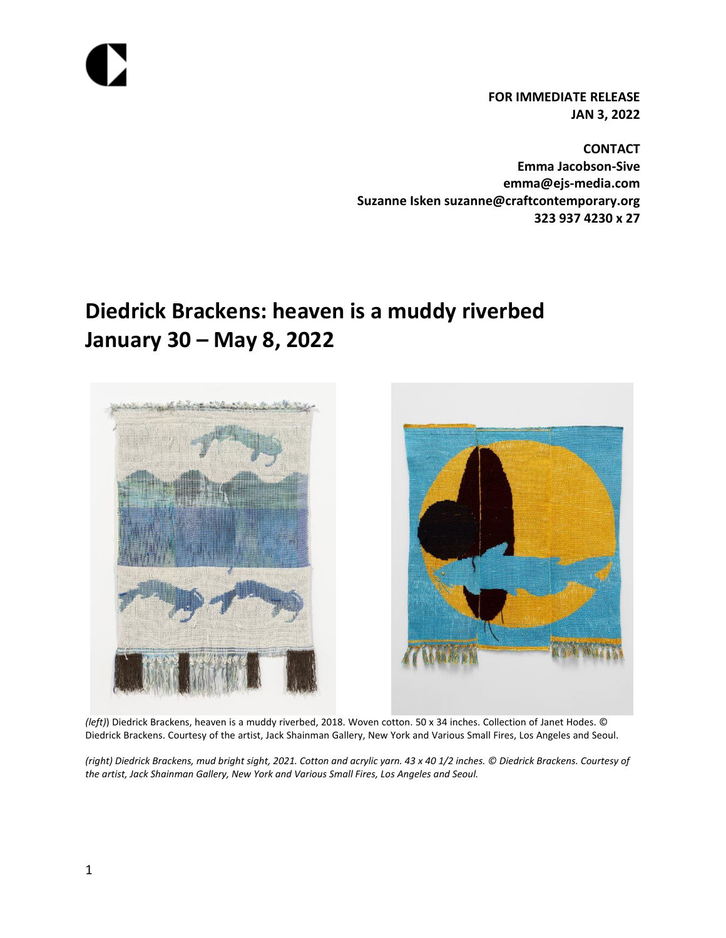**FOR IMMEDIATE RELEASE JAN 3, 2022**

**CONTACT Emma Jacobson-Sive emma@ejs-media.com Suzanne Isken suzanne@craftcontemporary.org 323 937 4230 x 27**

# **Diedrick Brackens: heaven is a muddy riverbed January 30 – May 8, 2022**





*(left)*) Diedrick Brackens, heaven is a muddy riverbed, 2018. Woven cotton. 50 x 34 inches. Collection of Janet Hodes. © Diedrick Brackens. Courtesy of the artist, Jack Shainman Gallery, New York and Various Small Fires, Los Angeles and Seoul.

Diedrick Brackens, mud bright sight, 2021. Cotton and acr *(right) Diedrick Brackens, mud bright sight, 2021. Cotton and acrylic yarn. 43 x 40 1/2 inches. © Diedrick Brackens. Courtesy of the artist, Jack Shainman Gallery, New York and Various Small Fires, Los Angeles and Seoul.*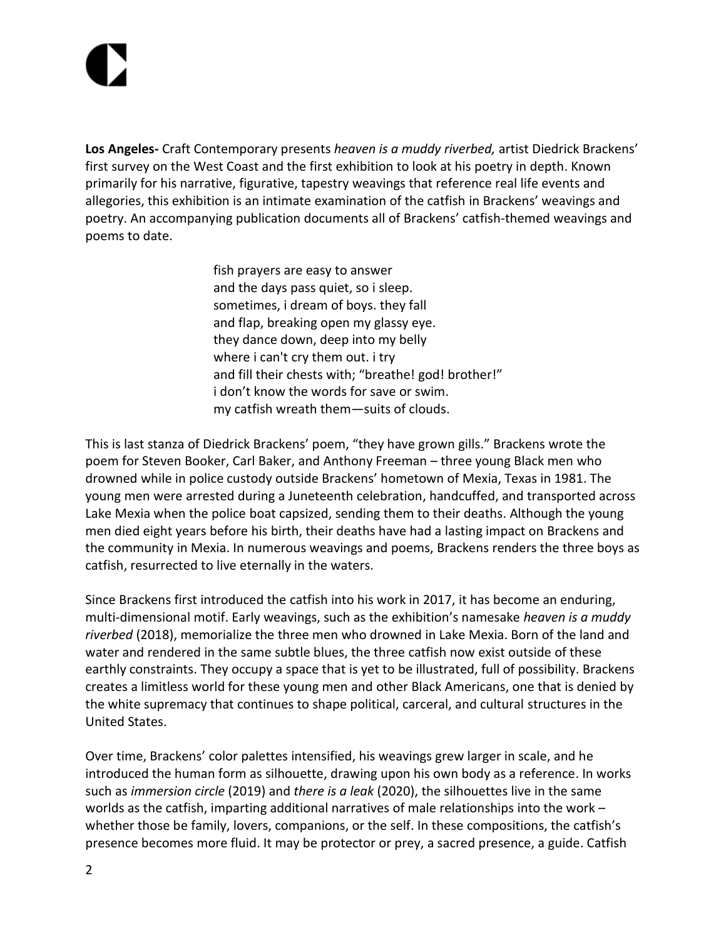**Los Angeles-** Craft Contemporary presents *heaven is a muddy riverbed,* artist Diedrick Brackens' first survey on the West Coast and the first exhibition to look at his poetry in depth. Known primarily for his narrative, figurative, tapestry weavings that reference real life events and allegories, this exhibition is an intimate examination of the catfish in Brackens' weavings and poetry. An accompanying publication documents all of Brackens' catfish-themed weavings and poems to date.

> fish prayers are easy to answer and the days pass quiet, so i sleep. sometimes, i dream of boys. they fall and flap, breaking open my glassy eye. they dance down, deep into my belly where i can't cry them out. i try and fill their chests with; "breathe! god! brother!" i don't know the words for save or swim. my catfish wreath them—suits of clouds.

This is last stanza of Diedrick Brackens' poem, "they have grown gills." Brackens wrote the poem for Steven Booker, Carl Baker, and Anthony Freeman – three young Black men who drowned while in police custody outside Brackens' hometown of Mexia, Texas in 1981. The young men were arrested during a Juneteenth celebration, handcuffed, and transported across Lake Mexia when the police boat capsized, sending them to their deaths. Although the young men died eight years before his birth, their deaths have had a lasting impact on Brackens and the community in Mexia. In numerous weavings and poems, Brackens renders the three boys as catfish, resurrected to live eternally in the waters.

Since Brackens first introduced the catfish into his work in 2017, it has become an enduring, multi-dimensional motif. Early weavings, such as the exhibition's namesake *heaven is a muddy riverbed* (2018), memorialize the three men who drowned in Lake Mexia. Born of the land and water and rendered in the same subtle blues, the three catfish now exist outside of these earthly constraints. They occupy a space that is yet to be illustrated, full of possibility. Brackens creates a limitless world for these young men and other Black Americans, one that is denied by the white supremacy that continues to shape political, carceral, and cultural structures in the United States.

Over time, Brackens' color palettes intensified, his weavings grew larger in scale, and he introduced the human form as silhouette, drawing upon his own body as a reference. In works such as *immersion circle* (2019) and *there is a leak* (2020), the silhouettes live in the same worlds as the catfish, imparting additional narratives of male relationships into the work – whether those be family, lovers, companions, or the self. In these compositions, the catfish's presence becomes more fluid. It may be protector or prey, a sacred presence, a guide. Catfish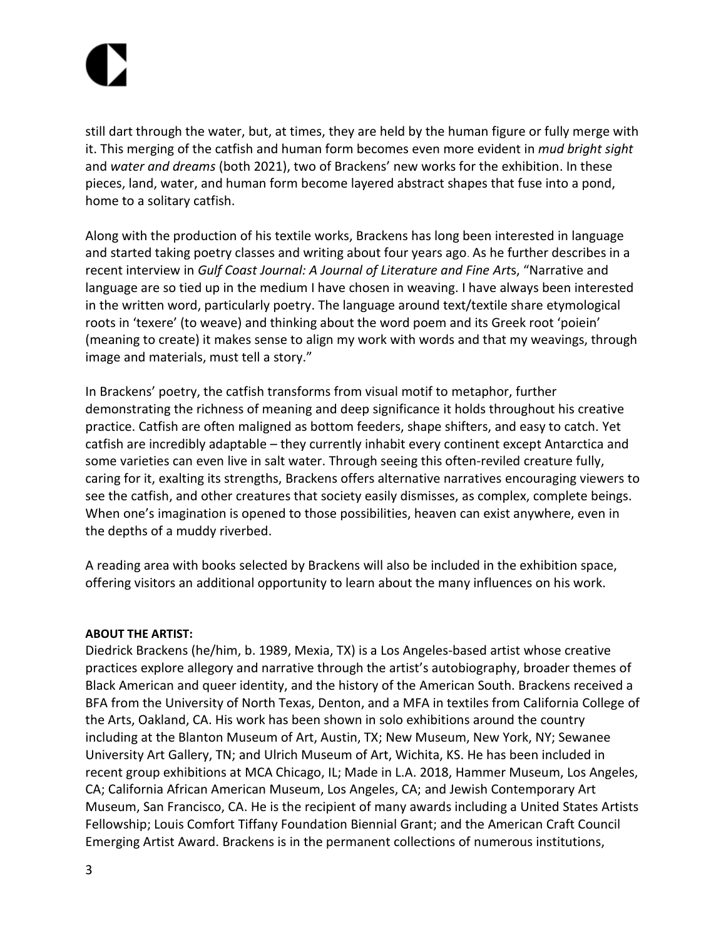still dart through the water, but, at times, they are held by the human figure or fully merge with it. This merging of the catfish and human form becomes even more evident in *mud bright sight* and *water and dreams* (both 2021), two of Brackens' new works for the exhibition. In these pieces, land, water, and human form become layered abstract shapes that fuse into a pond, home to a solitary catfish.

Along with the production of his textile works, Brackens has long been interested in language and started taking poetry classes and writing about four years ago. As he further describes in a recent interview in *Gulf Coast Journal: A Journal of Literature and Fine Art*s, "Narrative and language are so tied up in the medium I have chosen in weaving. I have always been interested in the written word, particularly poetry. The language around text/textile share etymological roots in 'texere' (to weave) and thinking about the word poem and its Greek root 'poiein' (meaning to create) it makes sense to align my work with words and that my weavings, through image and materials, must tell a story."

In Brackens' poetry, the catfish transforms from visual motif to metaphor, further demonstrating the richness of meaning and deep significance it holds throughout his creative practice. Catfish are often maligned as bottom feeders, shape shifters, and easy to catch. Yet catfish are incredibly adaptable – they currently inhabit every continent except Antarctica and some varieties can even live in salt water. Through seeing this often-reviled creature fully, caring for it, exalting its strengths, Brackens offers alternative narratives encouraging viewers to see the catfish, and other creatures that society easily dismisses, as complex, complete beings. When one's imagination is opened to those possibilities, heaven can exist anywhere, even in the depths of a muddy riverbed.

A reading area with books selected by Brackens will also be included in the exhibition space, offering visitors an additional opportunity to learn about the many influences on his work.

### **ABOUT THE ARTIST:**

Diedrick Brackens (he/him, b. 1989, Mexia, TX) is a Los Angeles-based artist whose creative practices explore allegory and narrative through the artist's autobiography, broader themes of Black American and queer identity, and the history of the American South. Brackens received a BFA from the University of North Texas, Denton, and a MFA in textiles from California College of the Arts, Oakland, CA. His work has been shown in solo exhibitions around the country including at the Blanton Museum of Art, Austin, TX; New Museum, New York, NY; Sewanee University Art Gallery, TN; and Ulrich Museum of Art, Wichita, KS. He has been included in recent group exhibitions at MCA Chicago, IL; Made in L.A. 2018, Hammer Museum, Los Angeles, CA; California African American Museum, Los Angeles, CA; and Jewish Contemporary Art Museum, San Francisco, CA. He is the recipient of many awards including a United States Artists Fellowship; Louis Comfort Tiffany Foundation Biennial Grant; and the American Craft Council Emerging Artist Award. Brackens is in the permanent collections of numerous institutions,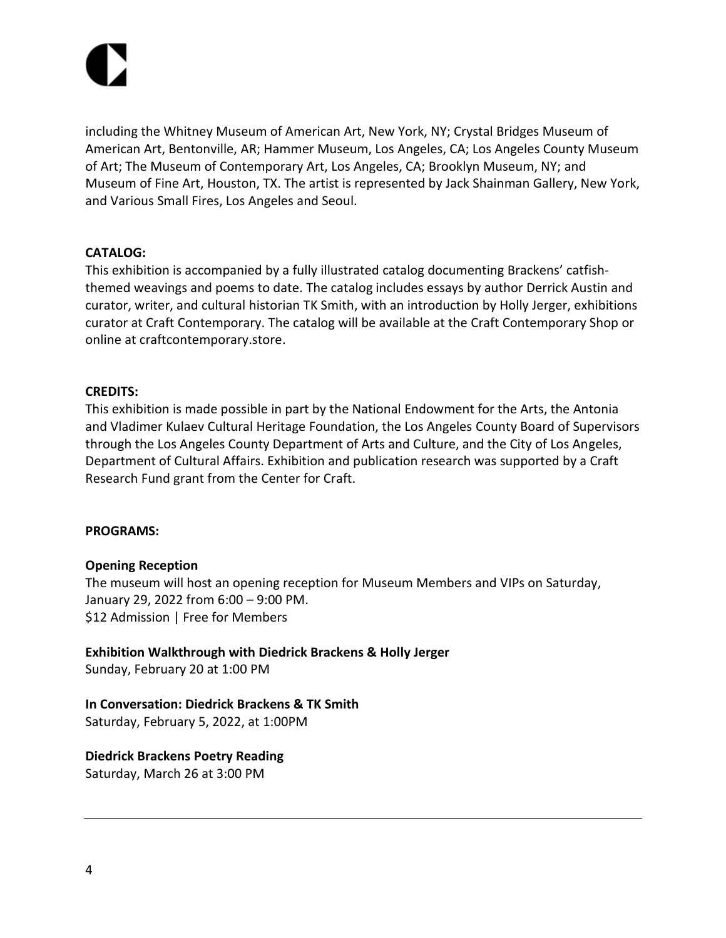

including the Whitney Museum of American Art, New York, NY; Crystal Bridges Museum of American Art, Bentonville, AR; Hammer Museum, Los Angeles, CA; Los Angeles County Museum of Art; The Museum of Contemporary Art, Los Angeles, CA; Brooklyn Museum, NY; and Museum of Fine Art, Houston, TX. The artist is represented by Jack Shainman Gallery, New York, and Various Small Fires, Los Angeles and Seoul.

### **CATALOG:**

This exhibition is accompanied by a fully illustrated catalog documenting Brackens' catfishthemed weavings and poems to date. The catalog includes essays by author Derrick Austin and curator, writer, and cultural historian TK Smith, with an introduction by Holly Jerger, exhibitions curator at Craft Contemporary. The catalog will be available at the Craft Contemporary Shop or online at craftcontemporary.store.

### **CREDITS:**

This exhibition is made possible in part by the National Endowment for the Arts, the Antonia and Vladimer Kulaev Cultural Heritage Foundation, the Los Angeles County Board of Supervisors through the Los Angeles County Department of Arts and Culture, and the City of Los Angeles, Department of Cultural Affairs. Exhibition and publication research was supported by a Craft Research Fund grant from the Center for Craft.

### **PROGRAMS:**

## **Opening Reception**

The museum will host an opening reception for Museum Members and VIPs on Saturday, January 29, 2022 from 6:00 – 9:00 PM. \$12 Admission | Free for Members

**Exhibition Walkthrough with Diedrick Brackens & Holly Jerger** Sunday, February 20 at 1:00 PM

**In Conversation: Diedrick Brackens & TK Smith** Saturday, February 5, 2022, at 1:00PM

**Diedrick Brackens Poetry Reading** Saturday, March 26 at 3:00 PM